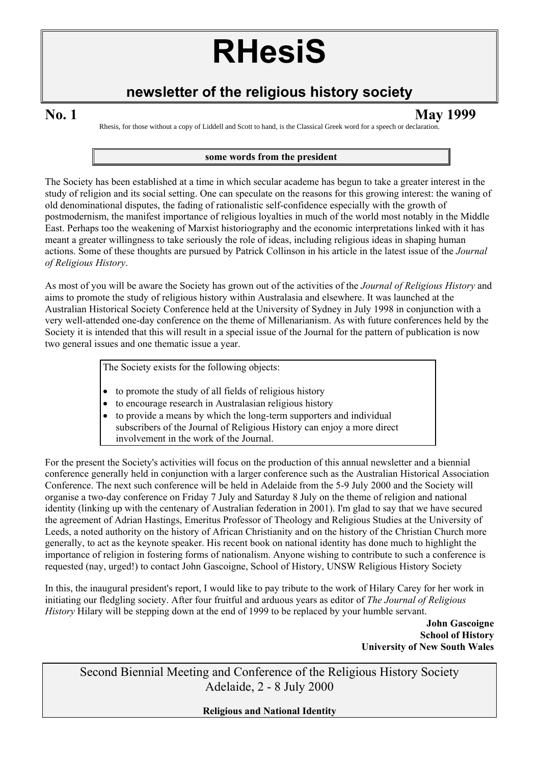# **RHesiS**

# **newsletter of the religious history society**

**No. 1 May 1999** 

Rhesis, for those without a copy of Liddell and Scott to hand, is the Classical Greek word for a speech or declaration.

#### **some words from the president**

The Society has been established at a time in which secular academe has begun to take a greater interest in the study of religion and its social setting. One can speculate on the reasons for this growing interest: the waning of old denominational disputes, the fading of rationalistic self-confidence especially with the growth of postmodernism, the manifest importance of religious loyalties in much of the world most notably in the Middle East. Perhaps too the weakening of Marxist historiography and the economic interpretations linked with it has meant a greater willingness to take seriously the role of ideas, including religious ideas in shaping human actions. Some of these thoughts are pursued by Patrick Collinson in his article in the latest issue of the *Journal of Religious History*.

As most of you will be aware the Society has grown out of the activities of the *Journal of Religious History* and aims to promote the study of religious history within Australasia and elsewhere. It was launched at the Australian Historical Society Conference held at the University of Sydney in July 1998 in conjunction with a very well-attended one-day conference on the theme of Millenarianism. As with future conferences held by the Society it is intended that this will result in a special issue of the Journal for the pattern of publication is now two general issues and one thematic issue a year.

The Society exists for the following objects:

- to promote the study of all fields of religious history
- to encourage research in Australasian religious history
- to provide a means by which the long-term supporters and individual subscribers of the Journal of Religious History can enjoy a more direct involvement in the work of the Journal.

For the present the Society's activities will focus on the production of this annual newsletter and a biennial conference generally held in conjunction with a larger conference such as the Australian Historical Association Conference. The next such conference will be held in Adelaide from the 5-9 July 2000 and the Society will organise a two-day conference on Friday 7 July and Saturday 8 July on the theme of religion and national identity (linking up with the centenary of Australian federation in 2001). I'm glad to say that we have secured the agreement of Adrian Hastings, Emeritus Professor of Theology and Religious Studies at the University of Leeds, a noted authority on the history of African Christianity and on the history of the Christian Church more generally, to act as the keynote speaker. His recent book on national identity has done much to highlight the importance of religion in fostering forms of nationalism. Anyone wishing to contribute to such a conference is requested (nay, urged!) to contact John Gascoigne, School of History, UNSW Religious History Society

In this, the inaugural president's report, I would like to pay tribute to the work of Hilary Carey for her work in initiating our fledgling society. After four fruitful and arduous years as editor of *The Journal of Religious History* Hilary will be stepping down at the end of 1999 to be replaced by your humble servant.

> **John Gascoigne School of History University of New South Wales**

Second Biennial Meeting and Conference of the Religious History Society Adelaide, 2 - 8 July 2000

**Religious and National Identity**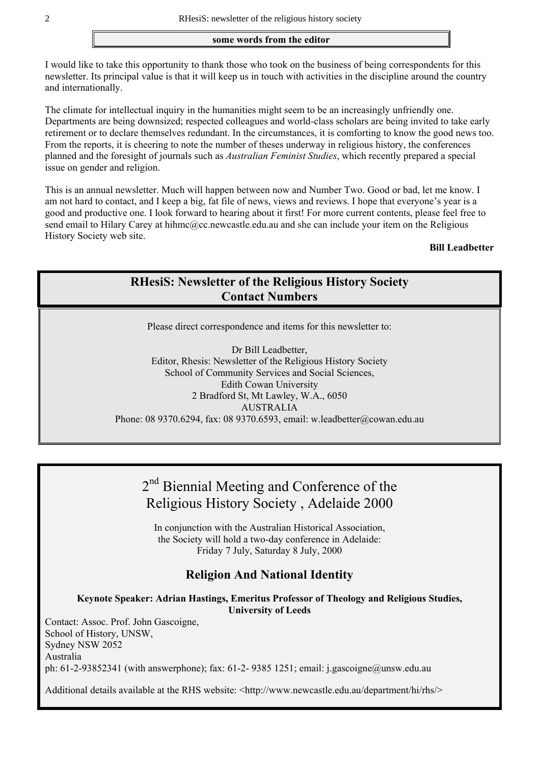#### **some words from the editor**

I would like to take this opportunity to thank those who took on the business of being correspondents for this newsletter. Its principal value is that it will keep us in touch with activities in the discipline around the country and internationally.

The climate for intellectual inquiry in the humanities might seem to be an increasingly unfriendly one. Departments are being downsized; respected colleagues and world-class scholars are being invited to take early retirement or to declare themselves redundant. In the circumstances, it is comforting to know the good news too. From the reports, it is cheering to note the number of theses underway in religious history, the conferences planned and the foresight of journals such as *Australian Feminist Studies*, which recently prepared a special issue on gender and religion.

This is an annual newsletter. Much will happen between now and Number Two. Good or bad, let me know. I am not hard to contact, and I keep a big, fat file of news, views and reviews. I hope that everyone's year is a good and productive one. I look forward to hearing about it first! For more current contents, please feel free to send email to Hilary Carey at hihmc@cc.newcastle.edu.au and she can include your item on the Religious History Society web site.

#### **Bill Leadbetter**

# **RHesiS: Newsletter of the Religious History Society Contact Numbers**

Please direct correspondence and items for this newsletter to:

Dr Bill Leadbetter, Editor, Rhesis: Newsletter of the Religious History Society School of Community Services and Social Sciences, Edith Cowan University 2 Bradford St, Mt Lawley, W.A., 6050 AUSTRALIA Phone: 08 9370.6294, fax: 08 9370.6593, email: w.leadbetter@cowan.edu.au

# 2<sup>nd</sup> Biennial Meeting and Conference of the Religious History Society , Adelaide 2000

In conjunction with the Australian Historical Association, the Society will hold a two-day conference in Adelaide: Friday 7 July, Saturday 8 July, 2000

#### **Religion And National Identity**

**Keynote Speaker: Adrian Hastings, Emeritus Professor of Theology and Religious Studies, University of Leeds**

Contact: Assoc. Prof. John Gascoigne, School of History, UNSW, Sydney NSW 2052 Australia ph: 61-2-93852341 (with answerphone); fax: 61-2- 9385 1251; email: j.gascoigne@unsw.edu.au

Additional details available at the RHS website: <http://www.newcastle.edu.au/department/hi/rhs/>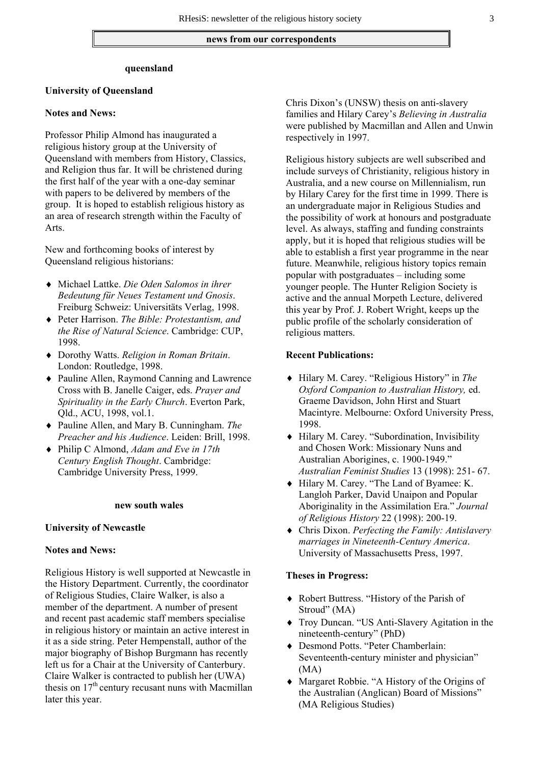#### **news from our correspondents**

#### **queensland**

#### **University of Queensland**

#### **Notes and News:**

Professor Philip Almond has inaugurated a religious history group at the University of Queensland with members from History, Classics, and Religion thus far. It will be christened during the first half of the year with a one-day seminar with papers to be delivered by members of the group. It is hoped to establish religious history as an area of research strength within the Faculty of Arts.

New and forthcoming books of interest by Queensland religious historians:

- ♦ Michael Lattke. *Die Oden Salomos in ihrer Bedeutung für Neues Testament und Gnosis*. Freiburg Schweiz: Universitäts Verlag, 1998.
- ♦ Peter Harrison. *The Bible: Protestantism, and the Rise of Natural Science*. Cambridge: CUP, 1998.
- ♦ Dorothy Watts. *Religion in Roman Britain*. London: Routledge, 1998.
- ♦ Pauline Allen, Raymond Canning and Lawrence Cross with B. Janelle Caiger, eds. *Prayer and Spirituality in the Early Church*. Everton Park, Qld., ACU, 1998, vol.1.
- ♦ Pauline Allen, and Mary B. Cunningham. *The Preacher and his Audience*. Leiden: Brill, 1998.
- ♦ Philip C Almond, *Adam and Eve in 17th Century English Thought*. Cambridge: Cambridge University Press, 1999.

#### **new south wales**

#### **University of Newcastle**

#### **Notes and News:**

Religious History is well supported at Newcastle in the History Department. Currently, the coordinator of Religious Studies, Claire Walker, is also a member of the department. A number of present and recent past academic staff members specialise in religious history or maintain an active interest in it as a side string. Peter Hempenstall, author of the major biography of Bishop Burgmann has recently left us for a Chair at the University of Canterbury. Claire Walker is contracted to publish her (UWA) thesis on  $17<sup>th</sup>$  century recusant nuns with Macmillan later this year.

Chris Dixon's (UNSW) thesis on anti-slavery families and Hilary Carey's *Believing in Australia* were published by Macmillan and Allen and Unwin respectively in 1997.

Religious history subjects are well subscribed and include surveys of Christianity, religious history in Australia, and a new course on Millennialism, run by Hilary Carey for the first time in 1999. There is an undergraduate major in Religious Studies and the possibility of work at honours and postgraduate level. As always, staffing and funding constraints apply, but it is hoped that religious studies will be able to establish a first year programme in the near future. Meanwhile, religious history topics remain popular with postgraduates – including some younger people. The Hunter Religion Society is active and the annual Morpeth Lecture, delivered this year by Prof. J. Robert Wright, keeps up the public profile of the scholarly consideration of religious matters.

#### **Recent Publications:**

- ♦ Hilary M. Carey. "Religious History" in *The Oxford Companion to Australian History,* ed. Graeme Davidson, John Hirst and Stuart Macintyre. Melbourne: Oxford University Press, 1998.
- ♦ Hilary M. Carey. "Subordination, Invisibility and Chosen Work: Missionary Nuns and Australian Aborigines, c. 1900-1949." *Australian Feminist Studies* 13 (1998): 251- 67.
- ♦ Hilary M. Carey. "The Land of Byamee: K. Langloh Parker, David Unaipon and Popular Aboriginality in the Assimilation Era." *Journal of Religious History* 22 (1998): 200-19.
- ♦ Chris Dixon. *Perfecting the Family: Antislavery marriages in Nineteenth-Century America*. University of Massachusetts Press, 1997.

#### **Theses in Progress:**

- ♦ Robert Buttress. "History of the Parish of Stroud" (MA)
- ♦ Troy Duncan. "US Anti-Slavery Agitation in the nineteenth-century" (PhD)
- ♦ Desmond Potts. "Peter Chamberlain: Seventeenth-century minister and physician" (MA)
- ♦ Margaret Robbie. "A History of the Origins of the Australian (Anglican) Board of Missions" (MA Religious Studies)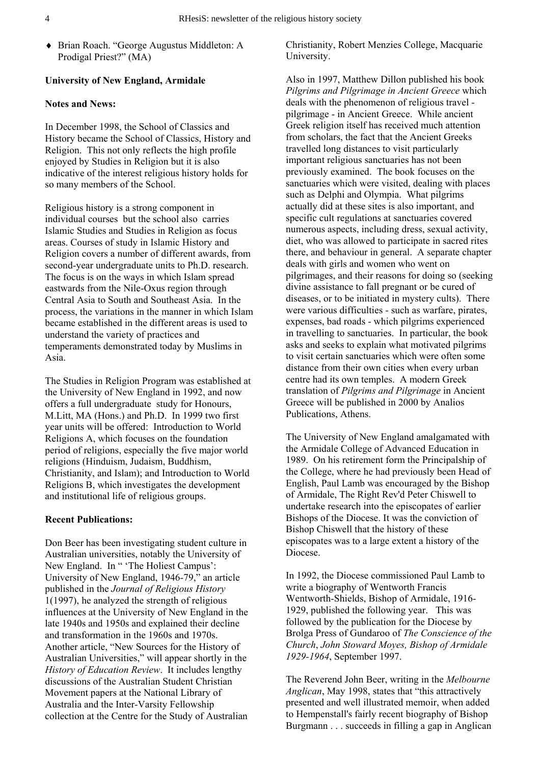♦ Brian Roach. "George Augustus Middleton: A Prodigal Priest?" (MA)

#### **University of New England, Armidale**

#### **Notes and News:**

In December 1998, the School of Classics and History became the School of Classics, History and Religion. This not only reflects the high profile enjoyed by Studies in Religion but it is also indicative of the interest religious history holds for so many members of the School.

Religious history is a strong component in individual courses but the school also carries Islamic Studies and Studies in Religion as focus areas. Courses of study in Islamic History and Religion covers a number of different awards, from second-year undergraduate units to Ph.D. research. The focus is on the ways in which Islam spread eastwards from the Nile-Oxus region through Central Asia to South and Southeast Asia. In the process, the variations in the manner in which Islam became established in the different areas is used to understand the variety of practices and temperaments demonstrated today by Muslims in Asia.

The Studies in Religion Program was established at the University of New England in 1992, and now offers a full undergraduate study for Honours, M.Litt, MA (Hons.) and Ph.D. In 1999 two first year units will be offered: Introduction to World Religions A, which focuses on the foundation period of religions, especially the five major world religions (Hinduism, Judaism, Buddhism, Christianity, and Islam); and Introduction to World Religions B, which investigates the development and institutional life of religious groups.

#### **Recent Publications:**

Don Beer has been investigating student culture in Australian universities, notably the University of New England. In " 'The Holiest Campus': University of New England, 1946-79," an article published in the *Journal of Religious History* 1(1997), he analyzed the strength of religious influences at the University of New England in the late 1940s and 1950s and explained their decline and transformation in the 1960s and 1970s. Another article, "New Sources for the History of Australian Universities," will appear shortly in the *History of Education Review*. It includes lengthy discussions of the Australian Student Christian Movement papers at the National Library of Australia and the Inter-Varsity Fellowship collection at the Centre for the Study of Australian

Christianity, Robert Menzies College, Macquarie University.

Also in 1997, Matthew Dillon published his book *Pilgrims and Pilgrimage in Ancient Greece* which deals with the phenomenon of religious travel pilgrimage - in Ancient Greece. While ancient Greek religion itself has received much attention from scholars, the fact that the Ancient Greeks travelled long distances to visit particularly important religious sanctuaries has not been previously examined. The book focuses on the sanctuaries which were visited, dealing with places such as Delphi and Olympia. What pilgrims actually did at these sites is also important, and specific cult regulations at sanctuaries covered numerous aspects, including dress, sexual activity, diet, who was allowed to participate in sacred rites there, and behaviour in general. A separate chapter deals with girls and women who went on pilgrimages, and their reasons for doing so (seeking divine assistance to fall pregnant or be cured of diseases, or to be initiated in mystery cults). There were various difficulties - such as warfare, pirates, expenses, bad roads - which pilgrims experienced in travelling to sanctuaries. In particular, the book asks and seeks to explain what motivated pilgrims to visit certain sanctuaries which were often some distance from their own cities when every urban centre had its own temples. A modern Greek translation of *Pilgrims and Pilgrimage* in Ancient Greece will be published in 2000 by Analios Publications, Athens.

The University of New England amalgamated with the Armidale College of Advanced Education in 1989. On his retirement form the Principalship of the College, where he had previously been Head of English, Paul Lamb was encouraged by the Bishop of Armidale, The Right Rev'd Peter Chiswell to undertake research into the episcopates of earlier Bishops of the Diocese. It was the conviction of Bishop Chiswell that the history of these episcopates was to a large extent a history of the Diocese.

In 1992, the Diocese commissioned Paul Lamb to write a biography of Wentworth Francis Wentworth-Shields, Bishop of Armidale, 1916- 1929, published the following year. This was followed by the publication for the Diocese by Brolga Press of Gundaroo of *The Conscience of the Church*, *John Stoward Moyes, Bishop of Armidale 1929-1964*, September 1997.

The Reverend John Beer, writing in the *Melbourne Anglican*, May 1998, states that "this attractively presented and well illustrated memoir, when added to Hempenstall's fairly recent biography of Bishop Burgmann . . . succeeds in filling a gap in Anglican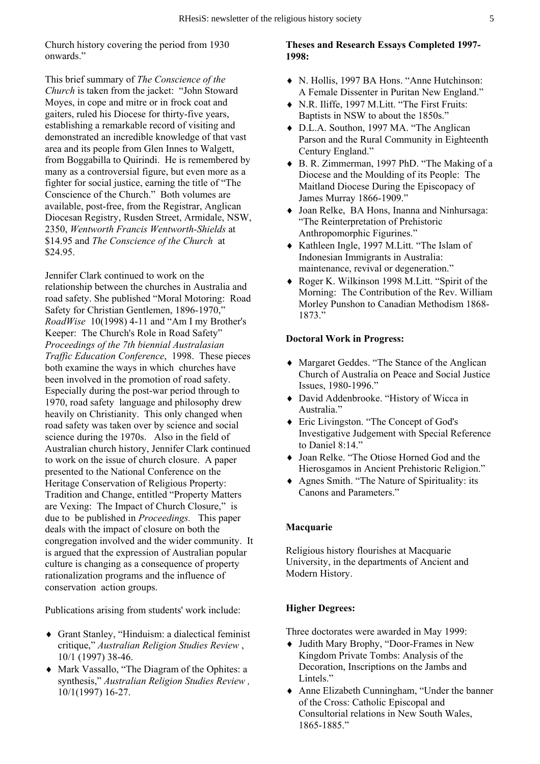Church history covering the period from 1930 onwards."

This brief summary of *The Conscience of the Church* is taken from the jacket: "John Stoward Moyes, in cope and mitre or in frock coat and gaiters, ruled his Diocese for thirty-five years, establishing a remarkable record of visiting and demonstrated an incredible knowledge of that vast area and its people from Glen Innes to Walgett, from Boggabilla to Quirindi. He is remembered by many as a controversial figure, but even more as a fighter for social justice, earning the title of "The Conscience of the Church." Both volumes are available, post-free, from the Registrar, Anglican Diocesan Registry, Rusden Street, Armidale, NSW, 2350, *Wentworth Francis Wentworth-Shields* at \$14.95 and *The Conscience of the Church* at \$24.95.

Jennifer Clark continued to work on the relationship between the churches in Australia and road safety. She published "Moral Motoring: Road Safety for Christian Gentlemen, 1896-1970," *RoadWise* 10(1998) 4-11 and "Am I my Brother's Keeper: The Church's Role in Road Safety" *Proceedings of the 7th biennial Australasian Traffic Education Conference*, 1998. These pieces both examine the ways in which churches have been involved in the promotion of road safety. Especially during the post-war period through to 1970, road safety language and philosophy drew heavily on Christianity. This only changed when road safety was taken over by science and social science during the 1970s. Also in the field of Australian church history, Jennifer Clark continued to work on the issue of church closure. A paper presented to the National Conference on the Heritage Conservation of Religious Property: Tradition and Change, entitled "Property Matters are Vexing: The Impact of Church Closure," is due to be published in *Proceedings.* This paper deals with the impact of closure on both the congregation involved and the wider community. It is argued that the expression of Australian popular culture is changing as a consequence of property rationalization programs and the influence of conservation action groups.

Publications arising from students' work include:

- ♦ Grant Stanley, "Hinduism: a dialectical feminist critique," *Australian Religion Studies Review* , 10/1 (1997) 38-46.
- ♦ Mark Vassallo, "The Diagram of the Ophites: a synthesis," *Australian Religion Studies Review ,*  10/1(1997) 16-27.

**Theses and Research Essays Completed 1997- 1998:** 

- ♦ N. Hollis, 1997 BA Hons. "Anne Hutchinson: A Female Dissenter in Puritan New England."
- ♦ N.R. Iliffe, 1997 M.Litt. "The First Fruits: Baptists in NSW to about the 1850s."
- ♦ D.L.A. Southon, 1997 MA. "The Anglican Parson and the Rural Community in Eighteenth Century England."
- ♦ B. R. Zimmerman, 1997 PhD. "The Making of a Diocese and the Moulding of its People: The Maitland Diocese During the Episcopacy of James Murray 1866-1909."
- ♦ Joan Relke, BA Hons, Inanna and Ninhursaga: "The Reinterpretation of Prehistoric Anthropomorphic Figurines."
- ♦ Kathleen Ingle, 1997 M.Litt. "The Islam of Indonesian Immigrants in Australia: maintenance, revival or degeneration."
- ♦ Roger K. Wilkinson 1998 M.Litt. "Spirit of the Morning: The Contribution of the Rev. William Morley Punshon to Canadian Methodism 1868- 1873."

#### **Doctoral Work in Progress:**

- ♦ Margaret Geddes. "The Stance of the Anglican Church of Australia on Peace and Social Justice Issues, 1980-1996."
- ♦ David Addenbrooke. "History of Wicca in Australia."
- ♦ Eric Livingston. "The Concept of God's Investigative Judgement with Special Reference to Daniel 8:14."
- ♦ Joan Relke. "The Otiose Horned God and the Hierosgamos in Ancient Prehistoric Religion."
- ♦ Agnes Smith. "The Nature of Spirituality: its Canons and Parameters."

#### **Macquarie**

Religious history flourishes at Macquarie University, in the departments of Ancient and Modern History.

#### **Higher Degrees:**

Three doctorates were awarded in May 1999:

- ♦ Judith Mary Brophy, "Door-Frames in New Kingdom Private Tombs: Analysis of the Decoration, Inscriptions on the Jambs and Lintels."
- ♦ Anne Elizabeth Cunningham, "Under the banner of the Cross: Catholic Episcopal and Consultorial relations in New South Wales, 1865-1885."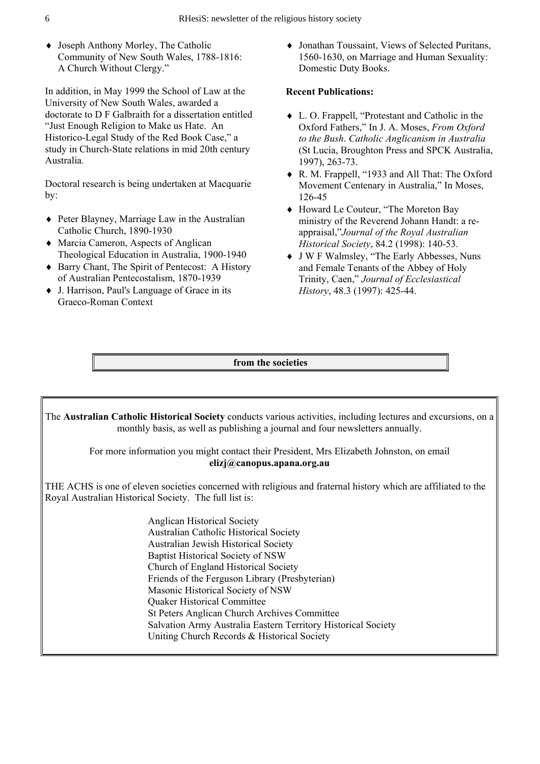♦ Joseph Anthony Morley, The Catholic Community of New South Wales, 1788-1816: A Church Without Clergy."

In addition, in May 1999 the School of Law at the University of New South Wales, awarded a doctorate to D F Galbraith for a dissertation entitled "Just Enough Religion to Make us Hate. An Historico-Legal Study of the Red Book Case," a study in Church-State relations in mid 20th century Australia.

Doctoral research is being undertaken at Macquarie by:

- ♦ Peter Blayney, Marriage Law in the Australian Catholic Church, 1890-1930
- ♦ Marcia Cameron, Aspects of Anglican Theological Education in Australia, 1900-1940
- ♦ Barry Chant, The Spirit of Pentecost: A History of Australian Pentecostalism, 1870-1939
- ♦ J. Harrison, Paul's Language of Grace in its Graeco-Roman Context

♦ Jonathan Toussaint, Views of Selected Puritans, 1560-1630, on Marriage and Human Sexuality: Domestic Duty Books.

#### **Recent Publications:**

- ♦ L. O. Frappell, "Protestant and Catholic in the Oxford Fathers," In J. A. Moses, *From Oxford to the Bush*. *Catholic Anglicanism in Australia* (St Lucia, Broughton Press and SPCK Australia, 1997), 263-73.
- ♦ R. M. Frappell, "1933 and All That: The Oxford Movement Centenary in Australia," In Moses, 126-45
- ♦ Howard Le Couteur, "The Moreton Bay ministry of the Reverend Johann Handt: a reappraisal,"*Journal of the Royal Australian Historical Society*, 84.2 (1998): 140-53.
- ♦ J W F Walmsley, "The Early Abbesses, Nuns and Female Tenants of the Abbey of Holy Trinity, Caen," *Journal of Ecclesiastical History*, 48.3 (1997): 425-44.

**from the societies** 

The **Australian Catholic Historical Society** conducts various activities, including lectures and excursions, on a monthly basis, as well as publishing a journal and four newsletters annually.

For more information you might contact their President, Mrs Elizabeth Johnston, on email **elizj@canopus.apana.org.au** 

THE ACHS is one of eleven societies concerned with religious and fraternal history which are affiliated to the Royal Australian Historical Society. The full list is:

> Anglican Historical Society Australian Catholic Historical Society Australian Jewish Historical Society Baptist Historical Society of NSW Church of England Historical Society Friends of the Ferguson Library (Presbyterian) Masonic Historical Society of NSW Quaker Historical Committee St Peters Anglican Church Archives Committee Salvation Army Australia Eastern Territory Historical Society Uniting Church Records & Historical Society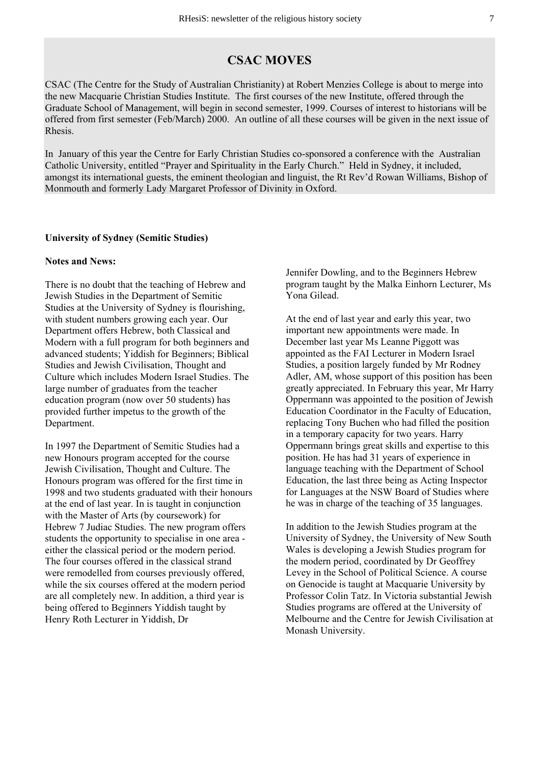### **CSAC MOVES**

CSAC (The Centre for the Study of Australian Christianity) at Robert Menzies College is about to merge into the new Macquarie Christian Studies Institute. The first courses of the new Institute, offered through the Graduate School of Management, will begin in second semester, 1999. Courses of interest to historians will be offered from first semester (Feb/March) 2000. An outline of all these courses will be given in the next issue of Rhesis.

In January of this year the Centre for Early Christian Studies co-sponsored a conference with the Australian Catholic University, entitled "Prayer and Spirituality in the Early Church." Held in Sydney, it included, amongst its international guests, the eminent theologian and linguist, the Rt Rev'd Rowan Williams, Bishop of Monmouth and formerly Lady Margaret Professor of Divinity in Oxford.

#### **University of Sydney (Semitic Studies)**

#### **Notes and News:**

There is no doubt that the teaching of Hebrew and Jewish Studies in the Department of Semitic Studies at the University of Sydney is flourishing, with student numbers growing each year. Our Department offers Hebrew, both Classical and Modern with a full program for both beginners and advanced students; Yiddish for Beginners; Biblical Studies and Jewish Civilisation, Thought and Culture which includes Modern Israel Studies. The large number of graduates from the teacher education program (now over 50 students) has provided further impetus to the growth of the Department.

In 1997 the Department of Semitic Studies had a new Honours program accepted for the course Jewish Civilisation, Thought and Culture. The Honours program was offered for the first time in 1998 and two students graduated with their honours at the end of last year. In is taught in conjunction with the Master of Arts (by coursework) for Hebrew 7 Judiac Studies. The new program offers students the opportunity to specialise in one area either the classical period or the modern period. The four courses offered in the classical strand were remodelled from courses previously offered, while the six courses offered at the modern period are all completely new. In addition, a third year is being offered to Beginners Yiddish taught by Henry Roth Lecturer in Yiddish, Dr

Jennifer Dowling, and to the Beginners Hebrew program taught by the Malka Einhorn Lecturer, Ms Yona Gilead.

At the end of last year and early this year, two important new appointments were made. In December last year Ms Leanne Piggott was appointed as the FAI Lecturer in Modern Israel Studies, a position largely funded by Mr Rodney Adler, AM, whose support of this position has been greatly appreciated. In February this year, Mr Harry Oppermann was appointed to the position of Jewish Education Coordinator in the Faculty of Education, replacing Tony Buchen who had filled the position in a temporary capacity for two years. Harry Oppermann brings great skills and expertise to this position. He has had 31 years of experience in language teaching with the Department of School Education, the last three being as Acting Inspector for Languages at the NSW Board of Studies where he was in charge of the teaching of 35 languages.

In addition to the Jewish Studies program at the University of Sydney, the University of New South Wales is developing a Jewish Studies program for the modern period, coordinated by Dr Geoffrey Levey in the School of Political Science. A course on Genocide is taught at Macquarie University by Professor Colin Tatz. In Victoria substantial Jewish Studies programs are offered at the University of Melbourne and the Centre for Jewish Civilisation at Monash University.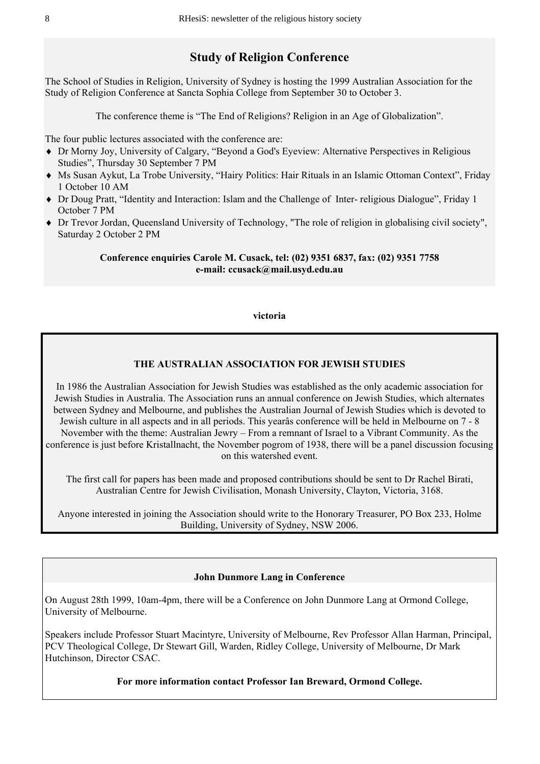# **Study of Religion Conference**

The School of Studies in Religion, University of Sydney is hosting the 1999 Australian Association for the Study of Religion Conference at Sancta Sophia College from September 30 to October 3.

The conference theme is "The End of Religions? Religion in an Age of Globalization".

The four public lectures associated with the conference are:

- ♦ Dr Morny Joy, University of Calgary, "Beyond a God's Eyeview: Alternative Perspectives in Religious Studies", Thursday 30 September 7 PM
- ♦ Ms Susan Aykut, La Trobe University, "Hairy Politics: Hair Rituals in an Islamic Ottoman Context", Friday 1 October 10 AM
- ♦ Dr Doug Pratt, "Identity and Interaction: Islam and the Challenge of Inter- religious Dialogue", Friday 1 October 7 PM
- ♦ Dr Trevor Jordan, Queensland University of Technology, "The role of religion in globalising civil society", Saturday 2 October 2 PM

#### **Conference enquiries Carole M. Cusack, tel: (02) 9351 6837, fax: (02) 9351 7758 e-mail: ccusack@mail.usyd.edu.au**

#### **victoria**

#### **THE AUSTRALIAN ASSOCIATION FOR JEWISH STUDIES**

In 1986 the Australian Association for Jewish Studies was established as the only academic association for Jewish Studies in Australia. The Association runs an annual conference on Jewish Studies, which alternates between Sydney and Melbourne, and publishes the Australian Journal of Jewish Studies which is devoted to Jewish culture in all aspects and in all periods. This yearâs conference will be held in Melbourne on 7 - 8 November with the theme: Australian Jewry – From a remnant of Israel to a Vibrant Community. As the conference is just before Kristallnacht, the November pogrom of 1938, there will be a panel discussion focusing on this watershed event.

The first call for papers has been made and proposed contributions should be sent to Dr Rachel Birati, Australian Centre for Jewish Civilisation, Monash University, Clayton, Victoria, 3168.

Anyone interested in joining the Association should write to the Honorary Treasurer, PO Box 233, Holme Building, University of Sydney, NSW 2006.

#### **John Dunmore Lang in Conference**

On August 28th 1999, 10am-4pm, there will be a Conference on John Dunmore Lang at Ormond College, University of Melbourne.

Speakers include Professor Stuart Macintyre, University of Melbourne, Rev Professor Allan Harman, Principal, PCV Theological College, Dr Stewart Gill, Warden, Ridley College, University of Melbourne, Dr Mark Hutchinson, Director CSAC.

**For more information contact Professor Ian Breward, Ormond College.**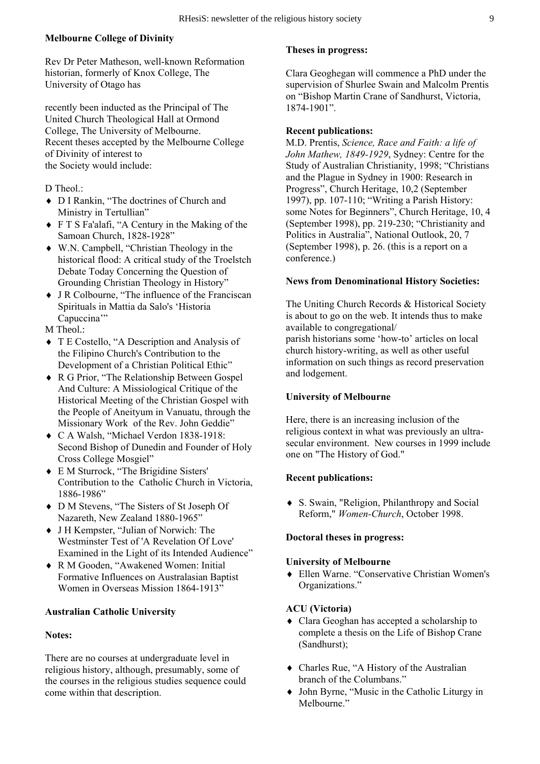#### **Melbourne College of Divinity**

Rev Dr Peter Matheson, well-known Reformation historian, formerly of Knox College, The University of Otago has

recently been inducted as the Principal of The United Church Theological Hall at Ormond College, The University of Melbourne. Recent theses accepted by the Melbourne College of Divinity of interest to the Society would include:

- D Theol.:
- ♦ D I Rankin, "The doctrines of Church and Ministry in Tertullian"
- ♦ F T S Fa'alafi, "A Century in the Making of the Samoan Church, 1828-1928"
- ♦ W.N. Campbell, "Christian Theology in the historical flood: A critical study of the Troelstch Debate Today Concerning the Question of Grounding Christian Theology in History"
- ♦ J R Colbourne, "The influence of the Franciscan Spirituals in Mattia da Salo's 'Historia Capuccina'"
- M Theol.:
- ♦ T E Costello, "A Description and Analysis of the Filipino Church's Contribution to the Development of a Christian Political Ethic"
- ♦ R G Prior, "The Relationship Between Gospel And Culture: A Missiological Critique of the Historical Meeting of the Christian Gospel with the People of Aneityum in Vanuatu, through the Missionary Work of the Rev. John Geddie"
- ♦ C A Walsh, "Michael Verdon 1838-1918: Second Bishop of Dunedin and Founder of Holy Cross College Mosgiel"
- ♦ E M Sturrock, "The Brigidine Sisters' Contribution to the Catholic Church in Victoria, 1886-1986"
- ♦ D M Stevens, "The Sisters of St Joseph Of Nazareth, New Zealand 1880-1965"
- ♦ J H Kempster, "Julian of Norwich: The Westminster Test of 'A Revelation Of Love' Examined in the Light of its Intended Audience"
- ♦ R M Gooden, "Awakened Women: Initial Formative Influences on Australasian Baptist Women in Overseas Mission 1864-1913"

#### **Australian Catholic University**

#### **Notes:**

There are no courses at undergraduate level in religious history, although, presumably, some of the courses in the religious studies sequence could come within that description.

#### **Theses in progress:**

Clara Geoghegan will commence a PhD under the supervision of Shurlee Swain and Malcolm Prentis on "Bishop Martin Crane of Sandhurst, Victoria,  $1874 - 1901$ "

#### **Recent publications:**

M.D. Prentis, *Science, Race and Faith: a life of John Mathew, 1849-1929*, Sydney: Centre for the Study of Australian Christianity, 1998; "Christians and the Plague in Sydney in 1900: Research in Progress", Church Heritage, 10,2 (September 1997), pp. 107-110; "Writing a Parish History: some Notes for Beginners", Church Heritage, 10, 4 (September 1998), pp. 219-230; "Christianity and Politics in Australia", National Outlook, 20, 7 (September 1998), p. 26. (this is a report on a conference.)

#### **News from Denominational History Societies:**

The Uniting Church Records & Historical Society is about to go on the web. It intends thus to make available to congregational/ parish historians some 'how-to' articles on local church history-writing, as well as other useful information on such things as record preservation and lodgement.

#### **University of Melbourne**

Here, there is an increasing inclusion of the religious context in what was previously an ultrasecular environment. New courses in 1999 include one on "The History of God."

#### **Recent publications:**

♦ S. Swain, "Religion, Philanthropy and Social Reform," *Women-Church*, October 1998.

#### **Doctoral theses in progress:**

#### **University of Melbourne**

♦ Ellen Warne. "Conservative Christian Women's Organizations."

#### **ACU (Victoria)**

- ♦ Clara Geoghan has accepted a scholarship to complete a thesis on the Life of Bishop Crane (Sandhurst);
- ♦ Charles Rue, "A History of the Australian branch of the Columbans."
- ♦ John Byrne, "Music in the Catholic Liturgy in Melbourne<sup>"</sup>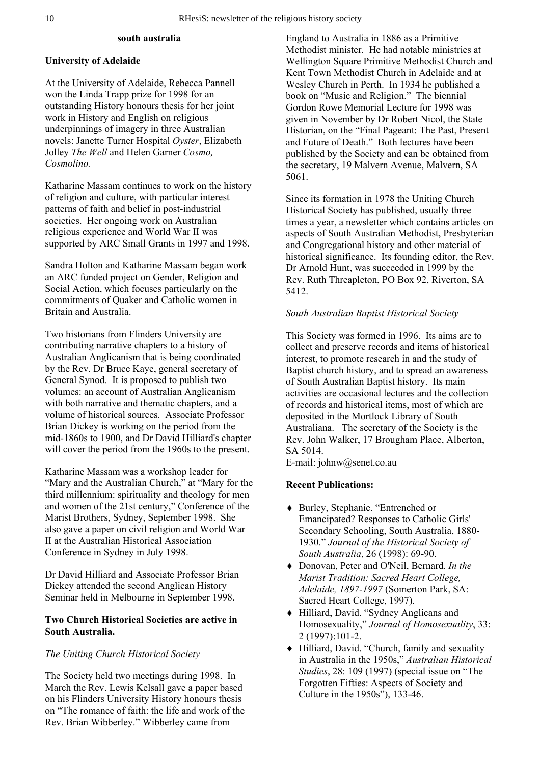#### **south australia**

#### **University of Adelaide**

At the University of Adelaide, Rebecca Pannell won the Linda Trapp prize for 1998 for an outstanding History honours thesis for her joint work in History and English on religious underpinnings of imagery in three Australian novels: Janette Turner Hospital *Oyster*, Elizabeth Jolley *The Well* and Helen Garner *Cosmo, Cosmolino.*

Katharine Massam continues to work on the history of religion and culture, with particular interest patterns of faith and belief in post-industrial societies. Her ongoing work on Australian religious experience and World War II was supported by ARC Small Grants in 1997 and 1998.

Sandra Holton and Katharine Massam began work an ARC funded project on Gender, Religion and Social Action, which focuses particularly on the commitments of Quaker and Catholic women in Britain and Australia.

Two historians from Flinders University are contributing narrative chapters to a history of Australian Anglicanism that is being coordinated by the Rev. Dr Bruce Kaye, general secretary of General Synod. It is proposed to publish two volumes: an account of Australian Anglicanism with both narrative and thematic chapters, and a volume of historical sources. Associate Professor Brian Dickey is working on the period from the mid-1860s to 1900, and Dr David Hilliard's chapter will cover the period from the 1960s to the present.

Katharine Massam was a workshop leader for "Mary and the Australian Church," at "Mary for the third millennium: spirituality and theology for men and women of the 21st century," Conference of the Marist Brothers, Sydney, September 1998. She also gave a paper on civil religion and World War II at the Australian Historical Association Conference in Sydney in July 1998.

Dr David Hilliard and Associate Professor Brian Dickey attended the second Anglican History Seminar held in Melbourne in September 1998.

#### **Two Church Historical Societies are active in South Australia.**

#### *The Uniting Church Historical Society*

The Society held two meetings during 1998. In March the Rev. Lewis Kelsall gave a paper based on his Flinders University History honours thesis on "The romance of faith: the life and work of the Rev. Brian Wibberley." Wibberley came from

England to Australia in 1886 as a Primitive Methodist minister. He had notable ministries at Wellington Square Primitive Methodist Church and Kent Town Methodist Church in Adelaide and at Wesley Church in Perth. In 1934 he published a book on "Music and Religion." The biennial Gordon Rowe Memorial Lecture for 1998 was given in November by Dr Robert Nicol, the State Historian, on the "Final Pageant: The Past, Present and Future of Death." Both lectures have been published by the Society and can be obtained from the secretary, 19 Malvern Avenue, Malvern, SA 5061.

Since its formation in 1978 the Uniting Church Historical Society has published, usually three times a year, a newsletter which contains articles on aspects of South Australian Methodist, Presbyterian and Congregational history and other material of historical significance. Its founding editor, the Rev. Dr Arnold Hunt, was succeeded in 1999 by the Rev. Ruth Threapleton, PO Box 92, Riverton, SA 5412.

#### *South Australian Baptist Historical Society*

This Society was formed in 1996. Its aims are to collect and preserve records and items of historical interest, to promote research in and the study of Baptist church history, and to spread an awareness of South Australian Baptist history. Its main activities are occasional lectures and the collection of records and historical items, most of which are deposited in the Mortlock Library of South Australiana. The secretary of the Society is the Rev. John Walker, 17 Brougham Place, Alberton, SA 5014.

E-mail: johnw@senet.co.au

#### **Recent Publications:**

- ♦ Burley, Stephanie. "Entrenched or Emancipated? Responses to Catholic Girls' Secondary Schooling, South Australia, 1880- 1930." *Journal of the Historical Society of South Australia*, 26 (1998): 69-90.
- ♦ Donovan, Peter and O'Neil, Bernard. *In the Marist Tradition: Sacred Heart College, Adelaide, 1897-1997* (Somerton Park, SA: Sacred Heart College, 1997).
- ♦ Hilliard, David. "Sydney Anglicans and Homosexuality," *Journal of Homosexuality*, 33: 2 (1997):101-2.
- ♦ Hilliard, David. "Church, family and sexuality in Australia in the 1950s," *Australian Historical Studies*, 28: 109 (1997) (special issue on "The Forgotten Fifties: Aspects of Society and Culture in the 1950s"), 133-46.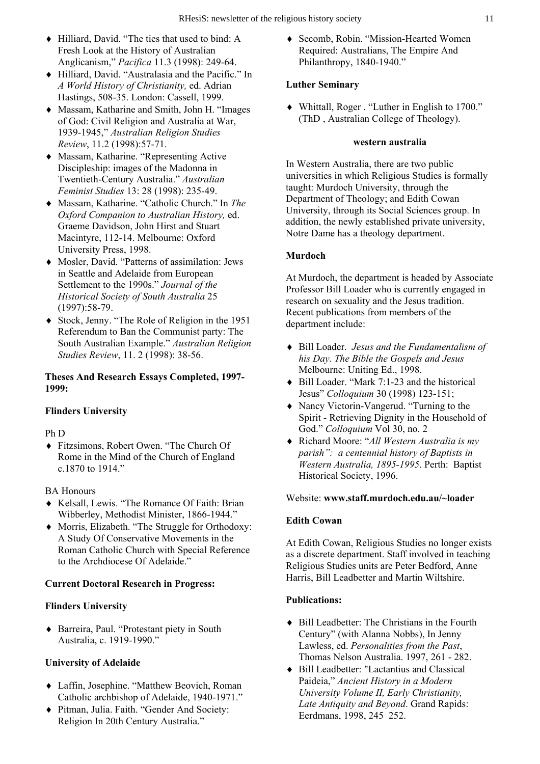- ♦ Hilliard, David. "The ties that used to bind: A Fresh Look at the History of Australian Anglicanism," *Pacifica* 11.3 (1998): 249-64.
- ♦ Hilliard, David. "Australasia and the Pacific." In *A World History of Christianity,* ed. Adrian Hastings, 508-35. London: Cassell, 1999.
- ♦ Massam, Katharine and Smith, John H. "Images of God: Civil Religion and Australia at War, 1939-1945," *Australian Religion Studies Review*, 11.2 (1998):57-71.
- ♦ Massam, Katharine. "Representing Active Discipleship: images of the Madonna in Twentieth-Century Australia." *Australian Feminist Studies* 13: 28 (1998): 235-49.
- ♦ Massam, Katharine. "Catholic Church." In *The Oxford Companion to Australian History,* ed. Graeme Davidson, John Hirst and Stuart Macintyre, 112-14. Melbourne: Oxford University Press, 1998.
- ♦ Mosler, David. "Patterns of assimilation: Jews in Seattle and Adelaide from European Settlement to the 1990s." *Journal of the Historical Society of South Australia* 25 (1997):58-79.
- ♦ Stock, Jenny. "The Role of Religion in the 1951 Referendum to Ban the Communist party: The South Australian Example." *Australian Religion Studies Review*, 11. 2 (1998): 38-56.

#### **Theses And Research Essays Completed, 1997- 1999:**

#### **Flinders University**

Ph D

♦ Fitzsimons, Robert Owen. "The Church Of Rome in the Mind of the Church of England c.1870 to 1914."

BA Honours

- ♦ Kelsall, Lewis. "The Romance Of Faith: Brian Wibberley, Methodist Minister, 1866-1944."
- ♦ Morris, Elizabeth. "The Struggle for Orthodoxy: A Study Of Conservative Movements in the Roman Catholic Church with Special Reference to the Archdiocese Of Adelaide."

#### **Current Doctoral Research in Progress:**

#### **Flinders University**

♦ Barreira, Paul. "Protestant piety in South Australia, c. 1919-1990."

#### **University of Adelaide**

- ♦ Laffin, Josephine. "Matthew Beovich, Roman Catholic archbishop of Adelaide, 1940-1971."
- ♦ Pitman, Julia. Faith. "Gender And Society: Religion In 20th Century Australia."

♦ Secomb, Robin. "Mission-Hearted Women Required: Australians, The Empire And Philanthropy, 1840-1940."

#### **Luther Seminary**

♦ Whittall, Roger . "Luther in English to 1700." (ThD , Australian College of Theology).

#### **western australia**

In Western Australia, there are two public universities in which Religious Studies is formally taught: Murdoch University, through the Department of Theology; and Edith Cowan University, through its Social Sciences group. In addition, the newly established private university, Notre Dame has a theology department.

#### **Murdoch**

At Murdoch, the department is headed by Associate Professor Bill Loader who is currently engaged in research on sexuality and the Jesus tradition. Recent publications from members of the department include:

- ♦ Bill Loader. *Jesus and the Fundamentalism of his Day. The Bible the Gospels and Jesus* Melbourne: Uniting Ed., 1998.
- ♦ Bill Loader. "Mark 7:1-23 and the historical Jesus" *Colloquium* 30 (1998) 123-151;
- ♦ Nancy Victorin-Vangerud. "Turning to the Spirit - Retrieving Dignity in the Household of God." *Colloquium* Vol 30, no. 2
- ♦ Richard Moore: "*All Western Australia is my parish": a centennial history of Baptists in Western Australia, 1895-1995*. Perth: Baptist Historical Society, 1996.

#### Website: **www.staff.murdoch.edu.au/~loader**

#### **Edith Cowan**

At Edith Cowan, Religious Studies no longer exists as a discrete department. Staff involved in teaching Religious Studies units are Peter Bedford, Anne Harris, Bill Leadbetter and Martin Wiltshire.

#### **Publications:**

- ♦ Bill Leadbetter: The Christians in the Fourth Century" (with Alanna Nobbs), In Jenny Lawless, ed. *Personalities from the Past*, Thomas Nelson Australia. 1997, 261 - 282.
- ♦ Bill Leadbetter: "Lactantius and Classical Paideia," *Ancient History in a Modern University Volume II, Early Christianity, Late Antiquity and Beyond*. Grand Rapids: Eerdmans, 1998, 245 252.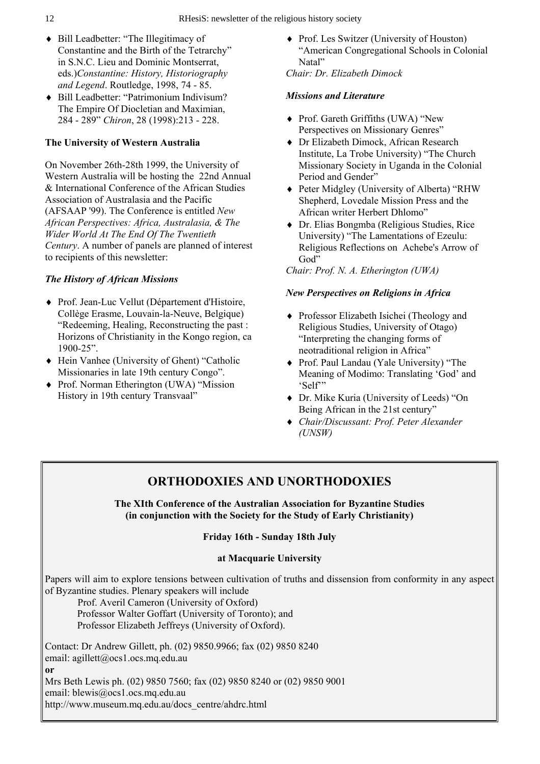- ♦ Bill Leadbetter: "The Illegitimacy of Constantine and the Birth of the Tetrarchy" in S.N.C. Lieu and Dominic Montserrat, eds.)*Constantine: History, Historiography and Legend*. Routledge, 1998, 74 - 85.
- ♦ Bill Leadbetter: "Patrimonium Indivisum? The Empire Of Diocletian and Maximian, 284 - 289" *Chiron*, 28 (1998):213 - 228.

#### **The University of Western Australia**

On November 26th-28th 1999, the University of Western Australia will be hosting the 22nd Annual & International Conference of the African Studies Association of Australasia and the Pacific (AFSAAP '99). The Conference is entitled *New African Perspectives: Africa, Australasia, & The Wider World At The End Of The Twentieth Century*. A number of panels are planned of interest to recipients of this newsletter:

#### *The History of African Missions*

- ♦ Prof. Jean-Luc Vellut (Département d'Histoire, Collège Erasme, Louvain-la-Neuve, Belgique) "Redeeming, Healing, Reconstructing the past : Horizons of Christianity in the Kongo region, ca 1900-25".
- ♦ Hein Vanhee (University of Ghent) "Catholic Missionaries in late 19th century Congo".
- ♦ Prof. Norman Etherington (UWA) "Mission History in 19th century Transvaal"

♦ Prof. Les Switzer (University of Houston) "American Congregational Schools in Colonial Natal"

*Chair: Dr. Elizabeth Dimock* 

#### *Missions and Literature*

- ♦ Prof. Gareth Griffiths (UWA) "New Perspectives on Missionary Genres"
- ♦ Dr Elizabeth Dimock, African Research Institute, La Trobe University) "The Church Missionary Society in Uganda in the Colonial Period and Gender"
- ♦ Peter Midgley (University of Alberta) "RHW Shepherd, Lovedale Mission Press and the African writer Herbert Dhlomo"
- ♦ Dr. Elias Bongmba (Religious Studies, Rice University) "The Lamentations of Ezeulu: Religious Reflections on Achebe's Arrow of God"

#### *Chair: Prof. N. A. Etherington (UWA)*

#### *New Perspectives on Religions in Africa*

- ♦ Professor Elizabeth Isichei (Theology and Religious Studies, University of Otago) "Interpreting the changing forms of neotraditional religion in Africa"
- ♦ Prof. Paul Landau (Yale University) "The Meaning of Modimo: Translating 'God' and 'Self'"
- ♦ Dr. Mike Kuria (University of Leeds) "On Being African in the 21st century"
- ♦ *Chair/Discussant: Prof. Peter Alexander (UNSW)*

# **ORTHODOXIES AND UNORTHODOXIES**

**The XIth Conference of the Australian Association for Byzantine Studies (in conjunction with the Society for the Study of Early Christianity)** 

#### **Friday 16th - Sunday 18th July**

#### **at Macquarie University**

Papers will aim to explore tensions between cultivation of truths and dissension from conformity in any aspect of Byzantine studies. Plenary speakers will include

 Prof. Averil Cameron (University of Oxford) Professor Walter Goffart (University of Toronto); and Professor Elizabeth Jeffreys (University of Oxford).

Contact: Dr Andrew Gillett, ph. (02) 9850.9966; fax (02) 9850 8240 email: agillett@ocs1.ocs.mq.edu.au **or** Mrs Beth Lewis ph. (02) 9850 7560; fax (02) 9850 8240 or (02) 9850 9001 email: blewis@ocs1.ocs.mq.edu.au

http://www.museum.mq.edu.au/docs\_centre/ahdrc.html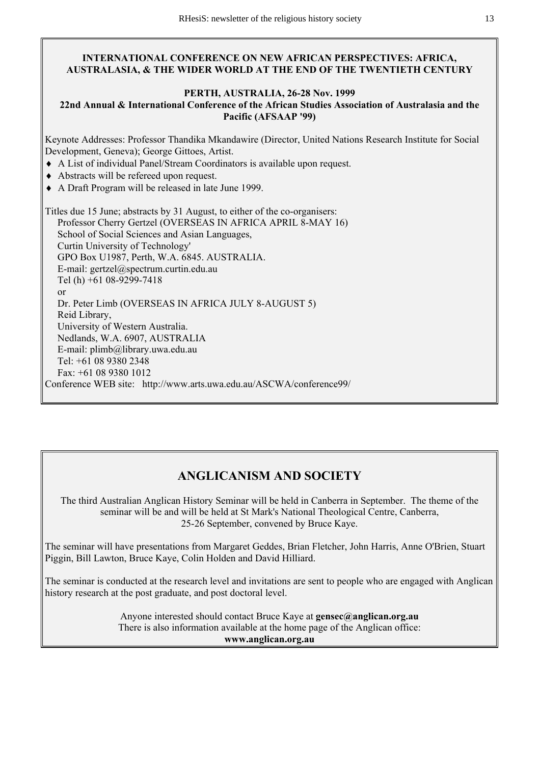#### **INTERNATIONAL CONFERENCE ON NEW AFRICAN PERSPECTIVES: AFRICA, AUSTRALASIA, & THE WIDER WORLD AT THE END OF THE TWENTIETH CENTURY**

#### **PERTH, AUSTRALIA, 26-28 Nov. 1999**

#### **22nd Annual & International Conference of the African Studies Association of Australasia and the Pacific (AFSAAP '99)**

Keynote Addresses: Professor Thandika Mkandawire (Director, United Nations Research Institute for Social Development, Geneva); George Gittoes, Artist.

- ♦ A List of individual Panel/Stream Coordinators is available upon request.
- ♦ Abstracts will be refereed upon request.
- ♦ A Draft Program will be released in late June 1999.

Titles due 15 June; abstracts by 31 August, to either of the co-organisers: Professor Cherry Gertzel (OVERSEAS IN AFRICA APRIL 8-MAY 16) School of Social Sciences and Asian Languages, Curtin University of Technology' GPO Box U1987, Perth, W.A. 6845. AUSTRALIA. E-mail: gertzel@spectrum.curtin.edu.au Tel (h) +61 08-9299-7418 or Dr. Peter Limb (OVERSEAS IN AFRICA JULY 8-AUGUST 5) Reid Library, University of Western Australia. Nedlands, W.A. 6907, AUSTRALIA E-mail: plimb@library.uwa.edu.au Tel: +61 08 9380 2348 Fax: +61 08 9380 1012 Conference WEB site: http://www.arts.uwa.edu.au/ASCWA/conference99/

# **ANGLICANISM AND SOCIETY**

The third Australian Anglican History Seminar will be held in Canberra in September. The theme of the seminar will be and will be held at St Mark's National Theological Centre, Canberra, 25-26 September, convened by Bruce Kaye.

The seminar will have presentations from Margaret Geddes, Brian Fletcher, John Harris, Anne O'Brien, Stuart Piggin, Bill Lawton, Bruce Kaye, Colin Holden and David Hilliard.

The seminar is conducted at the research level and invitations are sent to people who are engaged with Anglican history research at the post graduate, and post doctoral level.

> Anyone interested should contact Bruce Kaye at **gensec@anglican.org.au** There is also information available at the home page of the Anglican office: **www.anglican.org.au**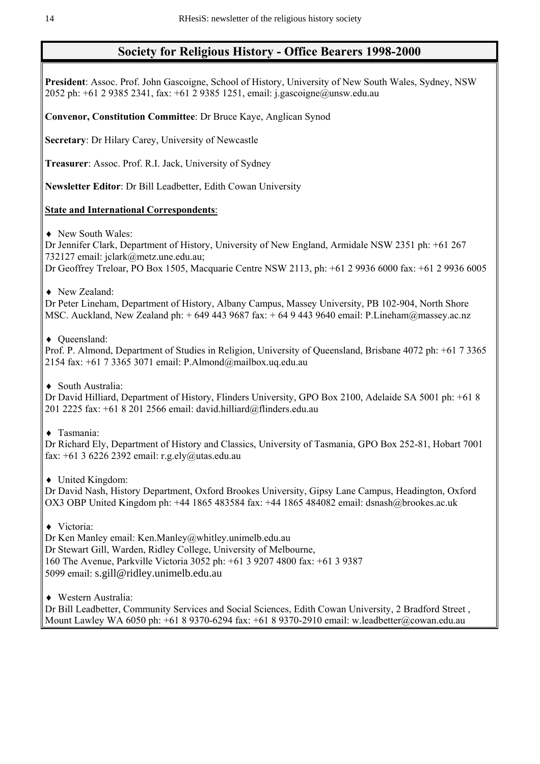# **Society for Religious History - Office Bearers 1998-2000**

**President**: Assoc. Prof. John Gascoigne, School of History, University of New South Wales, Sydney, NSW 2052 ph: +61 2 9385 2341, fax: +61 2 9385 1251, email: j.gascoigne@unsw.edu.au

**Convenor, Constitution Committee**: Dr Bruce Kaye, Anglican Synod

**Secretary**: Dr Hilary Carey, University of Newcastle

**Treasurer**: Assoc. Prof. R.I. Jack, University of Sydney

**Newsletter Editor**: Dr Bill Leadbetter, Edith Cowan University

#### **State and International Correspondents**:

♦ New South Wales:

Dr Jennifer Clark, Department of History, University of New England, Armidale NSW 2351 ph: +61 267 732127 email: jclark@metz.une.edu.au;

Dr Geoffrey Treloar, PO Box 1505, Macquarie Centre NSW 2113, ph: +61 2 9936 6000 fax: +61 2 9936 6005

♦ New Zealand:

Dr Peter Lineham, Department of History, Albany Campus, Massey University, PB 102-904, North Shore MSC. Auckland, New Zealand ph: + 649 443 9687 fax: + 64 9 443 9640 email: P.Lineham@massey.ac.nz

♦ Queensland:

Prof. P. Almond, Department of Studies in Religion, University of Queensland, Brisbane 4072 ph: +61 7 3365 2154 fax: +61 7 3365 3071 email: P.Almond@mailbox.uq.edu.au

♦ South Australia:

Dr David Hilliard, Department of History, Flinders University, GPO Box 2100, Adelaide SA 5001 ph: +61 8 201 2225 fax: +61 8 201 2566 email: david.hilliard@flinders.edu.au

♦ Tasmania:

Dr Richard Ely, Department of History and Classics, University of Tasmania, GPO Box 252-81, Hobart 7001 fax: +61 3 6226 2392 email: r.g.ely@utas.edu.au

♦ United Kingdom:

Dr David Nash, History Department, Oxford Brookes University, Gipsy Lane Campus, Headington, Oxford OX3 OBP United Kingdom ph: +44 1865 483584 fax: +44 1865 484082 email: dsnash@brookes.ac.uk

♦ Victoria:

Dr Ken Manley email: Ken.Manley@whitley.unimelb.edu.au Dr Stewart Gill, Warden, Ridley College, University of Melbourne, 160 The Avenue, Parkville Victoria 3052 ph: +61 3 9207 4800 fax: +61 3 9387 5099 email: s.gill@ridley.unimelb.edu.au

♦ Western Australia:

Dr Bill Leadbetter, Community Services and Social Sciences, Edith Cowan University, 2 Bradford Street , Mount Lawley WA 6050 ph: +61 8 9370-6294 fax: +61 8 9370-2910 email: w.leadbetter@cowan.edu.au